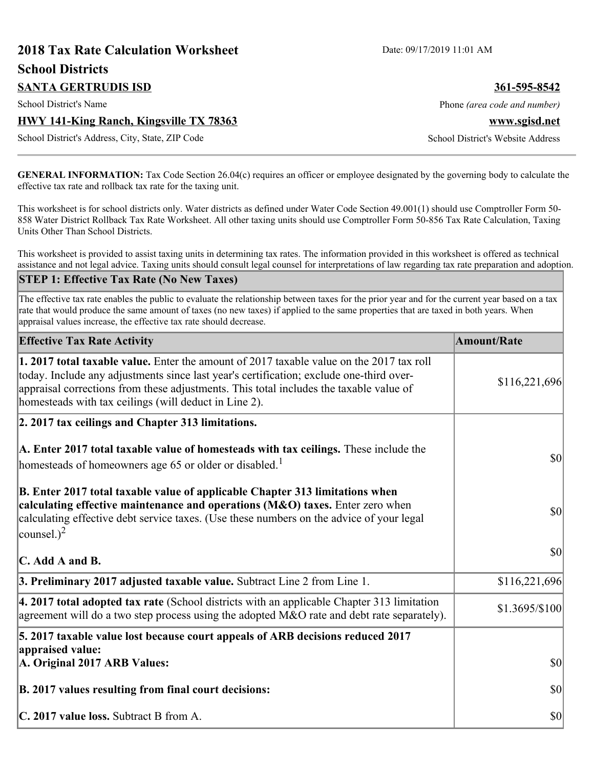# **2018 Tax Rate Calculation Worksheet** Date: 09/17/2019 11:01 AM **School Districts SANTA GERTRUDIS ISD 361-595-8542** School District's Name **Phone** *(area code and number)* Phone *(area code and number)* **HWY 141-King Ranch, Kingsville TX 78363 www.sgisd.net** School District's Address, City, State, ZIP Code School District's Website Address

**GENERAL INFORMATION:** Tax Code Section 26.04(c) requires an officer or employee designated by the governing body to calculate the effective tax rate and rollback tax rate for the taxing unit.

This worksheet is for school districts only. Water districts as defined under Water Code Section 49.001(1) should use Comptroller Form 50- 858 Water District Rollback Tax Rate Worksheet. All other taxing units should use Comptroller Form 50-856 Tax Rate Calculation, Taxing Units Other Than School Districts.

This worksheet is provided to assist taxing units in determining tax rates. The information provided in this worksheet is offered as technical assistance and not legal advice. Taxing units should consult legal counsel for interpretations of law regarding tax rate preparation and adoption.

#### **STEP 1: Effective Tax Rate (No New Taxes)**

The effective tax rate enables the public to evaluate the relationship between taxes for the prior year and for the current year based on a tax rate that would produce the same amount of taxes (no new taxes) if applied to the same properties that are taxed in both years. When appraisal values increase, the effective tax rate should decrease.

| <b>Effective Tax Rate Activity</b>                                                                                                                                                                                                                                                                                                     | <b>Amount/Rate</b> |
|----------------------------------------------------------------------------------------------------------------------------------------------------------------------------------------------------------------------------------------------------------------------------------------------------------------------------------------|--------------------|
| 1. 2017 total taxable value. Enter the amount of 2017 taxable value on the 2017 tax roll<br>today. Include any adjustments since last year's certification; exclude one-third over-<br>appraisal corrections from these adjustments. This total includes the taxable value of<br>homesteads with tax ceilings (will deduct in Line 2). | \$116,221,696      |
| 2. 2017 tax ceilings and Chapter 313 limitations.                                                                                                                                                                                                                                                                                      |                    |
| A. Enter 2017 total taxable value of homesteads with tax ceilings. These include the<br>homesteads of homeowners age 65 or older or disabled. <sup>1</sup>                                                                                                                                                                             | $ 10\rangle$       |
| B. Enter 2017 total taxable value of applicable Chapter 313 limitations when<br>calculating effective maintenance and operations (M&O) taxes. Enter zero when<br>calculating effective debt service taxes. (Use these numbers on the advice of your legal<br>counsel.) <sup>2</sup>                                                    | $ 10\rangle$       |
| C. Add A and B.                                                                                                                                                                                                                                                                                                                        | $ 10\rangle$       |
| 3. Preliminary 2017 adjusted taxable value. Subtract Line 2 from Line 1.                                                                                                                                                                                                                                                               | \$116,221,696      |
| $\vert$ 4. 2017 total adopted tax rate (School districts with an applicable Chapter 313 limitation<br>agreement will do a two step process using the adopted $M&O$ rate and debt rate separately).                                                                                                                                     | \$1.3695/\$100     |
| 5. 2017 taxable value lost because court appeals of ARB decisions reduced 2017<br>appraised value:                                                                                                                                                                                                                                     |                    |
| A. Original 2017 ARB Values:                                                                                                                                                                                                                                                                                                           | $ 10\rangle$       |
| B. 2017 values resulting from final court decisions:                                                                                                                                                                                                                                                                                   | 30                 |
| C. 2017 value loss. Subtract B from A.                                                                                                                                                                                                                                                                                                 | $ 10\rangle$       |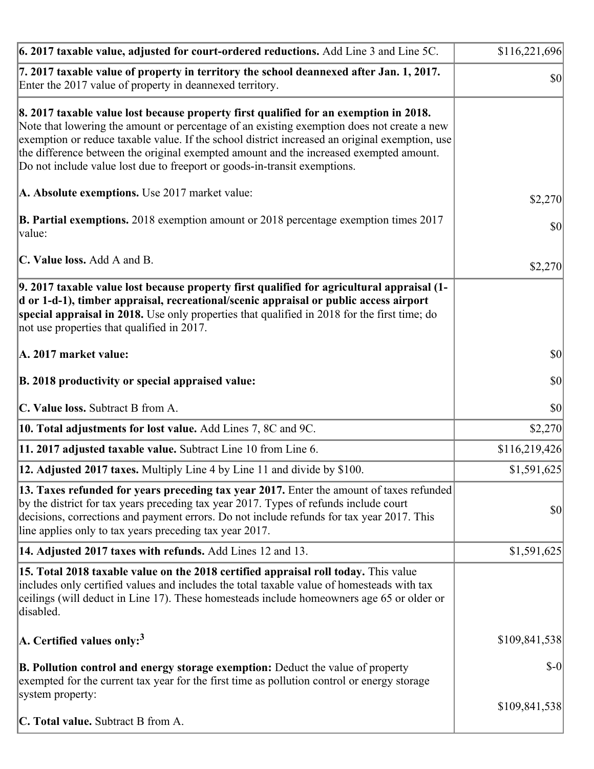| 6. 2017 taxable value, adjusted for court-ordered reductions. Add Line 3 and Line 5C.                                                                                                                                                                                                                                                                                                                                                                        | \$116,221,696 |
|--------------------------------------------------------------------------------------------------------------------------------------------------------------------------------------------------------------------------------------------------------------------------------------------------------------------------------------------------------------------------------------------------------------------------------------------------------------|---------------|
| 7. 2017 taxable value of property in territory the school deannexed after Jan. 1, 2017.<br>Enter the 2017 value of property in deannexed territory.                                                                                                                                                                                                                                                                                                          | $ 10\rangle$  |
| 8. 2017 taxable value lost because property first qualified for an exemption in 2018.<br>Note that lowering the amount or percentage of an existing exemption does not create a new<br>exemption or reduce taxable value. If the school district increased an original exemption, use<br>the difference between the original exempted amount and the increased exempted amount.<br>Do not include value lost due to freeport or goods-in-transit exemptions. |               |
| A. Absolute exemptions. Use 2017 market value:                                                                                                                                                                                                                                                                                                                                                                                                               | \$2,270       |
| <b>B. Partial exemptions.</b> 2018 exemption amount or 2018 percentage exemption times 2017<br>$\vert$ value:                                                                                                                                                                                                                                                                                                                                                | \$0           |
| C. Value loss. Add A and B.                                                                                                                                                                                                                                                                                                                                                                                                                                  | \$2,270       |
| 9. 2017 taxable value lost because property first qualified for agricultural appraisal (1-<br>d or 1-d-1), timber appraisal, recreational/scenic appraisal or public access airport<br>special appraisal in 2018. Use only properties that qualified in 2018 for the first time; do<br>not use properties that qualified in 2017.                                                                                                                            |               |
| A. 2017 market value:                                                                                                                                                                                                                                                                                                                                                                                                                                        | \$0           |
| B. 2018 productivity or special appraised value:                                                                                                                                                                                                                                                                                                                                                                                                             | \$0           |
| C. Value loss. Subtract B from A.                                                                                                                                                                                                                                                                                                                                                                                                                            | \$0           |
| <b>10. Total adjustments for lost value.</b> Add Lines 7, 8C and 9C.                                                                                                                                                                                                                                                                                                                                                                                         | \$2,270       |
| 11. 2017 adjusted taxable value. Subtract Line 10 from Line 6.                                                                                                                                                                                                                                                                                                                                                                                               | \$116,219,426 |
| <b>12. Adjusted 2017 taxes.</b> Multiply Line 4 by Line 11 and divide by \$100.                                                                                                                                                                                                                                                                                                                                                                              | \$1,591,625   |
| [13. Taxes refunded for years preceding tax year 2017. Enter the amount of taxes refunded]<br>by the district for tax years preceding tax year 2017. Types of refunds include court<br>decisions, corrections and payment errors. Do not include refunds for tax year 2017. This<br>line applies only to tax years preceding tax year 2017.                                                                                                                  | \$0           |
| 14. Adjusted 2017 taxes with refunds. Add Lines 12 and 13.                                                                                                                                                                                                                                                                                                                                                                                                   | \$1,591,625   |
| 15. Total 2018 taxable value on the 2018 certified appraisal roll today. This value<br>includes only certified values and includes the total taxable value of homesteads with tax<br>ceilings (will deduct in Line 17). These homesteads include homeowners age 65 or older or<br>disabled.                                                                                                                                                                  |               |
| A. Certified values only: <sup>3</sup>                                                                                                                                                                                                                                                                                                                                                                                                                       | \$109,841,538 |
| <b>B. Pollution control and energy storage exemption:</b> Deduct the value of property<br>exempted for the current tax year for the first time as pollution control or energy storage<br>system property:                                                                                                                                                                                                                                                    | $$-0$         |
| <b>C. Total value.</b> Subtract B from A.                                                                                                                                                                                                                                                                                                                                                                                                                    | \$109,841,538 |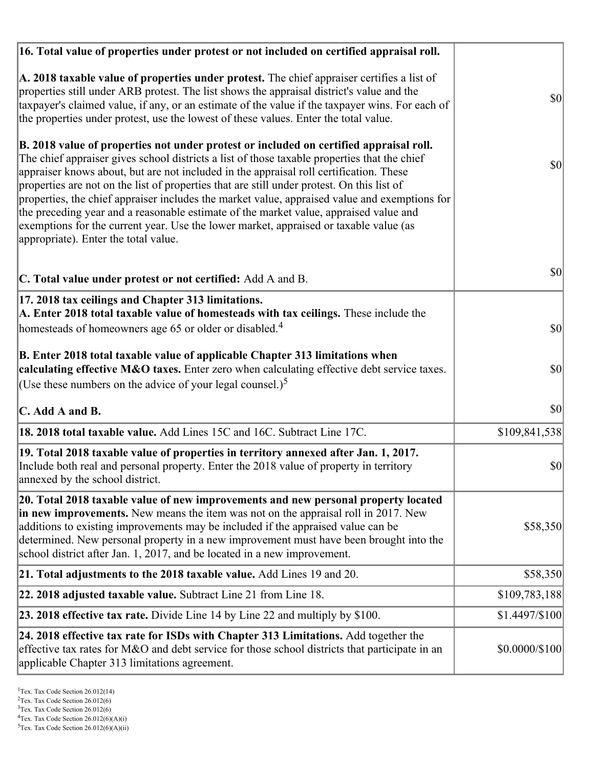| 16. Total value of properties under protest or not included on certified appraisal roll.                                                                                                                                                                                                                                                                                                                                                                                                                                                                                                                                                                                                                  |                |
|-----------------------------------------------------------------------------------------------------------------------------------------------------------------------------------------------------------------------------------------------------------------------------------------------------------------------------------------------------------------------------------------------------------------------------------------------------------------------------------------------------------------------------------------------------------------------------------------------------------------------------------------------------------------------------------------------------------|----------------|
| A. 2018 taxable value of properties under protest. The chief appraiser certifies a list of<br>properties still under ARB protest. The list shows the appraisal district's value and the<br>taxpayer's claimed value, if any, or an estimate of the value if the taxpayer wins. For each of<br>the properties under protest, use the lowest of these values. Enter the total value.                                                                                                                                                                                                                                                                                                                        | $ 10\rangle$   |
| B. 2018 value of properties not under protest or included on certified appraisal roll.<br>The chief appraiser gives school districts a list of those taxable properties that the chief<br>appraiser knows about, but are not included in the appraisal roll certification. These<br>properties are not on the list of properties that are still under protest. On this list of<br>properties, the chief appraiser includes the market value, appraised value and exemptions for<br>the preceding year and a reasonable estimate of the market value, appraised value and<br>exemptions for the current year. Use the lower market, appraised or taxable value (as<br>appropriate). Enter the total value. | \$0            |
| C. Total value under protest or not certified: Add A and B.                                                                                                                                                                                                                                                                                                                                                                                                                                                                                                                                                                                                                                               | \$0            |
| 17. 2018 tax ceilings and Chapter 313 limitations.<br>A. Enter 2018 total taxable value of homesteads with tax ceilings. These include the<br>homesteads of homeowners age 65 or older or disabled. <sup>4</sup>                                                                                                                                                                                                                                                                                                                                                                                                                                                                                          | \$0            |
| B. Enter 2018 total taxable value of applicable Chapter 313 limitations when<br>calculating effective M&O taxes. Enter zero when calculating effective debt service taxes.<br>(Use these numbers on the advice of your legal counsel.) <sup>5</sup>                                                                                                                                                                                                                                                                                                                                                                                                                                                       | \$0            |
| $\mathbf C$ . Add A and B.                                                                                                                                                                                                                                                                                                                                                                                                                                                                                                                                                                                                                                                                                | \$0            |
| 18. 2018 total taxable value. Add Lines 15C and 16C. Subtract Line 17C.                                                                                                                                                                                                                                                                                                                                                                                                                                                                                                                                                                                                                                   | \$109,841,538  |
| 19. Total 2018 taxable value of properties in territory annexed after Jan. 1, 2017.<br>Include both real and personal property. Enter the 2018 value of property in territory<br>annexed by the school district.                                                                                                                                                                                                                                                                                                                                                                                                                                                                                          | \$0            |
| 20. Total 2018 taxable value of new improvements and new personal property located<br>in new improvements. New means the item was not on the appraisal roll in 2017. New<br>additions to existing improvements may be included if the appraised value can be<br>determined. New personal property in a new improvement must have been brought into the<br>school district after Jan. 1, 2017, and be located in a new improvement.                                                                                                                                                                                                                                                                        | \$58,350       |
| 21. Total adjustments to the 2018 taxable value. Add Lines 19 and 20.                                                                                                                                                                                                                                                                                                                                                                                                                                                                                                                                                                                                                                     | \$58,350       |
| 22. 2018 adjusted taxable value. Subtract Line 21 from Line 18.                                                                                                                                                                                                                                                                                                                                                                                                                                                                                                                                                                                                                                           | \$109,783,188  |
| <b>23. 2018 effective tax rate.</b> Divide Line 14 by Line 22 and multiply by \$100.                                                                                                                                                                                                                                                                                                                                                                                                                                                                                                                                                                                                                      | \$1.4497/\$100 |
| 24. 2018 effective tax rate for ISDs with Chapter 313 Limitations. Add together the<br>effective tax rates for M&O and debt service for those school districts that participate in an<br>applicable Chapter 313 limitations agreement.                                                                                                                                                                                                                                                                                                                                                                                                                                                                    | \$0.0000/\$100 |

 $2$ Tex. Tax Code Section 26.012(6)

<sup>&</sup>lt;sup>3</sup>Tex. Tax Code Section 26.012(6)

 ${}^{4}$ Tex. Tax Code Section 26.012(6)(A)(i)

 $5$ Tex. Tax Code Section 26.012(6)(A)(ii)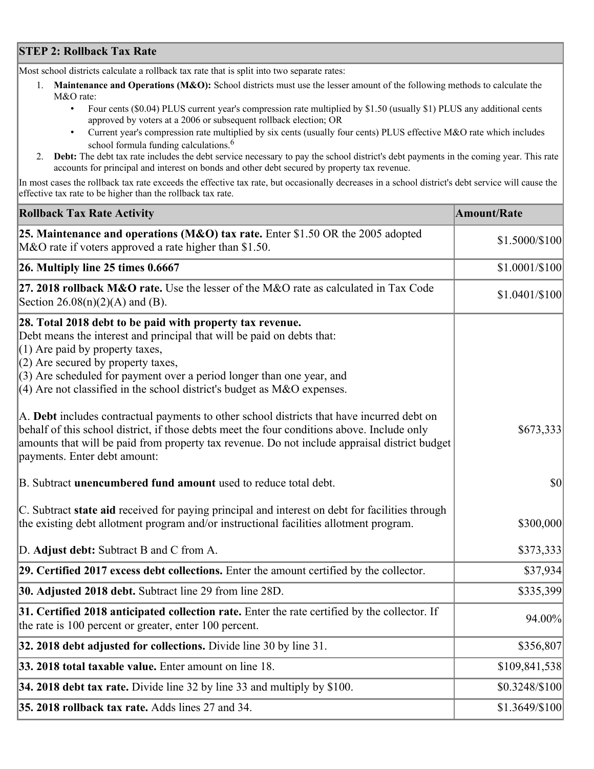## **STEP 2: Rollback Tax Rate**

Most school districts calculate a rollback tax rate that is split into two separate rates:

- 1. **Maintenance and Operations (M&O):** School districts must use the lesser amount of the following methods to calculate the M&O rate:
	- Four cents (\$0.04) PLUS current year's compression rate multiplied by \$1.50 (usually \$1) PLUS any additional cents approved by voters at a 2006 or subsequent rollback election; OR
	- Current year's compression rate multiplied by six cents (usually four cents) PLUS effective M&O rate which includes school formula funding calculations.<sup>6</sup>
- 2. **Debt:** The debt tax rate includes the debt service necessary to pay the school district's debt payments in the coming year. This rate accounts for principal and interest on bonds and other debt secured by property tax revenue.

In most cases the rollback tax rate exceeds the effective tax rate, but occasionally decreases in a school district's debt service will cause the effective tax rate to be higher than the rollback tax rate.

| <b>Rollback Tax Rate Activity</b>                                                                                                                                                                                                                                                                                                                                        | <b>Amount/Rate</b> |
|--------------------------------------------------------------------------------------------------------------------------------------------------------------------------------------------------------------------------------------------------------------------------------------------------------------------------------------------------------------------------|--------------------|
| 25. Maintenance and operations (M&O) tax rate. Enter \$1.50 OR the 2005 adopted<br>M&O rate if voters approved a rate higher than \$1.50.                                                                                                                                                                                                                                | \$1.5000/\$100     |
| $26.$ Multiply line 25 times $0.6667$                                                                                                                                                                                                                                                                                                                                    | \$1.0001/\$100     |
| 27. 2018 rollback $M&O$ rate. Use the lesser of the M $&O$ rate as calculated in Tax Code<br>Section $26.08(n)(2)(A)$ and (B).                                                                                                                                                                                                                                           | \$1.0401/\$100     |
| 28. Total 2018 debt to be paid with property tax revenue.<br>Debt means the interest and principal that will be paid on debts that:<br>$(1)$ Are paid by property taxes,<br>$(2)$ Are secured by property taxes,<br>$(3)$ Are scheduled for payment over a period longer than one year, and<br>$(4)$ Are not classified in the school district's budget as M&O expenses. |                    |
| A. Debt includes contractual payments to other school districts that have incurred debt on<br>behalf of this school district, if those debts meet the four conditions above. Include only<br>amounts that will be paid from property tax revenue. Do not include appraisal district budget<br>payments. Enter debt amount:                                               | \$673,333          |
| B. Subtract unencumbered fund amount used to reduce total debt.                                                                                                                                                                                                                                                                                                          | $ 10\rangle$       |
| C. Subtract state aid received for paying principal and interest on debt for facilities through<br>the existing debt allotment program and/or instructional facilities allotment program.                                                                                                                                                                                | \$300,000          |
| D. Adjust debt: Subtract B and C from A.                                                                                                                                                                                                                                                                                                                                 | \$373,333          |
| 29. Certified 2017 excess debt collections. Enter the amount certified by the collector.                                                                                                                                                                                                                                                                                 | \$37,934           |
| 30. Adjusted 2018 debt. Subtract line 29 from line 28D.                                                                                                                                                                                                                                                                                                                  | \$335,399          |
| 31. Certified 2018 anticipated collection rate. Enter the rate certified by the collector. If<br>the rate is 100 percent or greater, enter 100 percent.                                                                                                                                                                                                                  | 94.00%             |
| 32. 2018 debt adjusted for collections. Divide line 30 by line 31.                                                                                                                                                                                                                                                                                                       | \$356,807          |
| 33. 2018 total taxable value. Enter amount on line 18.                                                                                                                                                                                                                                                                                                                   | \$109,841,538      |
| 34. 2018 debt tax rate. Divide line 32 by line 33 and multiply by \$100.                                                                                                                                                                                                                                                                                                 | \$0.3248/\$100     |
| 35. 2018 rollback tax rate. Adds lines 27 and 34.                                                                                                                                                                                                                                                                                                                        | $$1.3649/\$100$    |